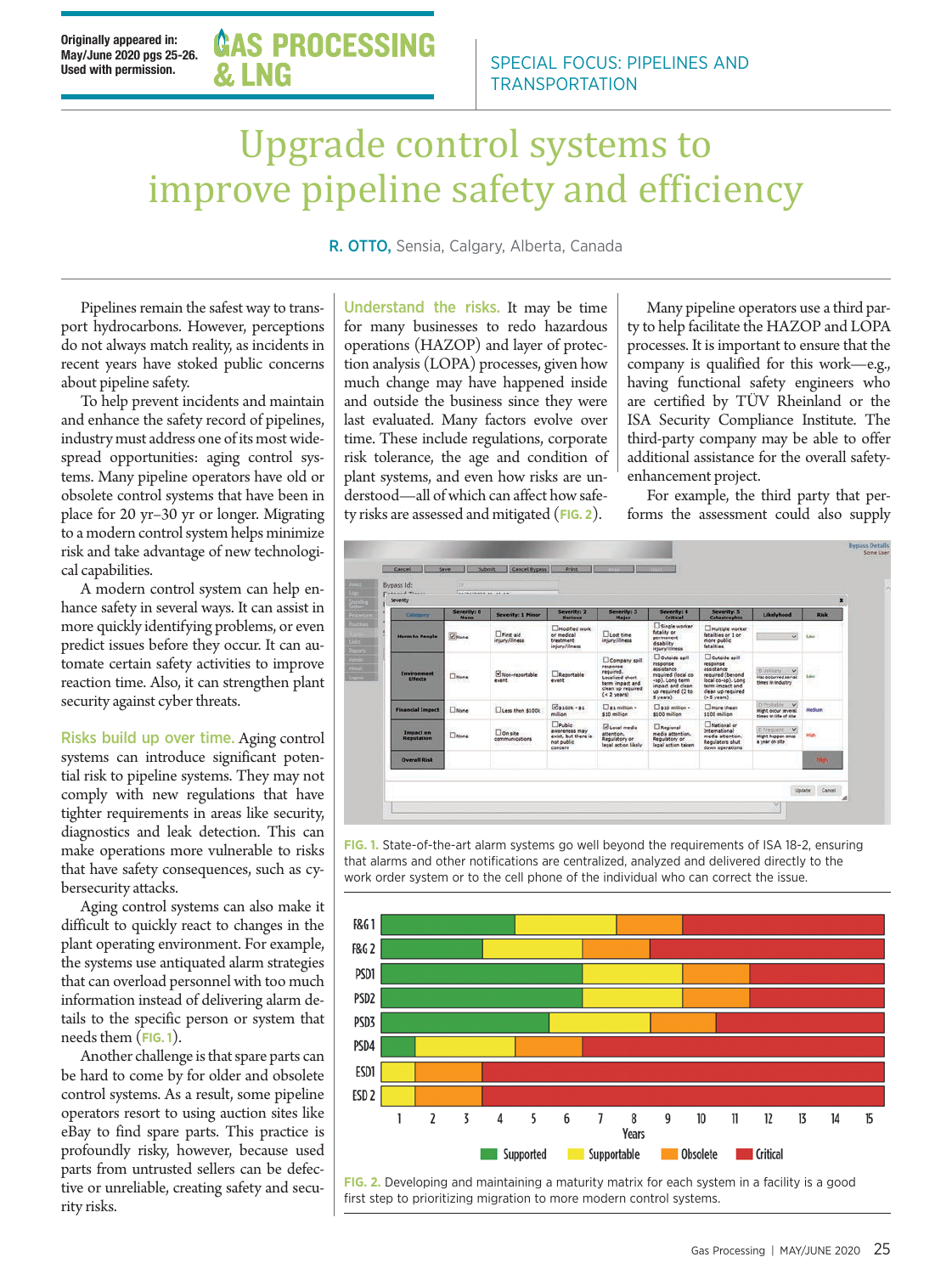## Upgrade control systems to improve pipeline safety and efficiency

R. OTTO, Sensia, Calgary, Alberta, Canada

Pipelines remain the safest way to transport hydrocarbons. However, perceptions do not always match reality, as incidents in recent years have stoked public concerns about pipeline safety.

To help prevent incidents and maintain and enhance the safety record of pipelines, industry must address one of its most widespread opportunities: aging control systems. Many pipeline operators have old or obsolete control systems that have been in place for 20 yr–30 yr or longer. Migrating to a modern control system helps minimize risk and take advantage of new technological capabilities.

A modern control system can help enhance safety in several ways. It can assist in more quickly identifying problems, or even predict issues before they occur. It can automate certain safety activities to improve reaction time. Also, it can strengthen plant security against cyber threats.

Risks build up over time. Aging control systems can introduce significant potential risk to pipeline systems. They may not comply with new regulations that have tighter requirements in areas like security, diagnostics and leak detection. This can make operations more vulnerable to risks that have safety consequences, such as cybersecurity attacks.

Aging control systems can also make it difficult to quickly react to changes in the plant operating environment. For example, the systems use antiquated alarm strategies that can overload personnel with too much information instead of delivering alarm details to the specific person or system that needs them (**FIG. 1**).

Another challenge is that spare parts can be hard to come by for older and obsolete control systems. As a result, some pipeline operators resort to using auction sites like eBay to find spare parts. This practice is profoundly risky, however, because used parts from untrusted sellers can be defective or unreliable, creating safety and security risks.

Understand the risks. It may be time for many businesses to redo hazardous operations (HAZOP) and layer of protection analysis (LOPA) processes, given how much change may have happened inside and outside the business since they were last evaluated. Many factors evolve over time. These include regulations, corporate risk tolerance, the age and condition of plant systems, and even how risks are understood—all of which can affect how safety risks are assessed and mitigated (**FIG. 2**).

Many pipeline operators use a third party to help facilitate the HAZOP and LOPA processes. It is important to ensure that the company is qualified for this work—e.g., having functional safety engineers who are certified by TÜV Rheinland or the ISA Security Compliance Institute. The third-party company may be able to offer additional assistance for the overall safetyenhancement project.

For example, the third party that performs the assessment could also supply



**FIG. 1.** State-of-the-art alarm systems go well beyond the requirements of ISA 18-2, ensuring that alarms and other notifications are centralized, analyzed and delivered directly to the work order system or to the cell phone of the individual who can correct the issue.



**FIG. 2.** Developing and maintaining a maturity matrix for each system in a facility is a good first step to prioritizing migration to more modern control systems.